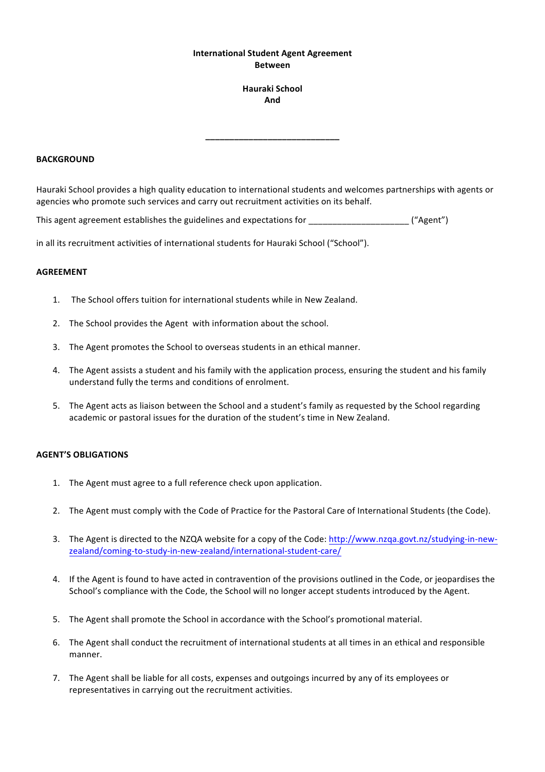## **International Student Agent Agreement Between**

## **Hauraki School And**

**\_\_\_\_\_\_\_\_\_\_\_\_\_\_\_\_\_\_\_\_\_\_\_\_\_\_\_\_**

#### **BACKGROUND**

Hauraki School provides a high quality education to international students and welcomes partnerships with agents or agencies who promote such services and carry out recruitment activities on its behalf.

This agent agreement establishes the guidelines and expectations for  $($ "Agent")

in all its recruitment activities of international students for Hauraki School ("School").

### **AGREEMENT**

- 1. The School offers tuition for international students while in New Zealand.
- 2. The School provides the Agent with information about the school.
- 3. The Agent promotes the School to overseas students in an ethical manner.
- 4. The Agent assists a student and his family with the application process, ensuring the student and his family understand fully the terms and conditions of enrolment.
- 5. The Agent acts as liaison between the School and a student's family as requested by the School regarding academic or pastoral issues for the duration of the student's time in New Zealand.

# **AGENT'S OBLIGATIONS**

- 1. The Agent must agree to a full reference check upon application.
- 2. The Agent must comply with the Code of Practice for the Pastoral Care of International Students (the Code).
- 3. The Agent is directed to the NZQA website for a copy of the Code: http://www.nzqa.govt.nz/studying-in-newzealand/coming-to-study-in-new-zealand/international-student-care/
- 4. If the Agent is found to have acted in contravention of the provisions outlined in the Code, or jeopardises the School's compliance with the Code, the School will no longer accept students introduced by the Agent.
- 5. The Agent shall promote the School in accordance with the School's promotional material.
- 6. The Agent shall conduct the recruitment of international students at all times in an ethical and responsible manner.
- 7. The Agent shall be liable for all costs, expenses and outgoings incurred by any of its employees or representatives in carrying out the recruitment activities.